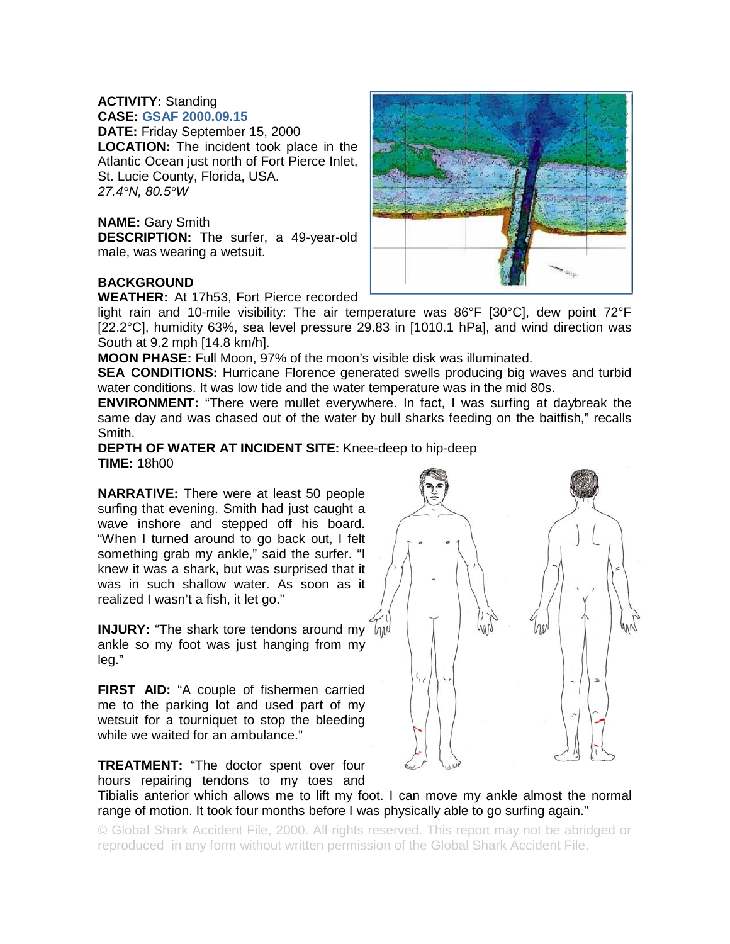### **ACTIVITY:** Standing **CASE: GSAF 2000.09.15**

**DATE:** Friday September 15, 2000 **LOCATION:** The incident took place in the Atlantic Ocean just north of Fort Pierce Inlet, St. Lucie County, Florida, USA. *27.4°N, 80.5°W* 

### **NAME:** Gary Smith

**DESCRIPTION:** The surfer, a 49-year-old male, was wearing a wetsuit.

## **BACKGROUND**

**WEATHER:** At 17h53, Fort Pierce recorded

light rain and 10-mile visibility: The air temperature was 86°F [30°C], dew point 72°F [22.2°C], humidity 63%, sea level pressure 29.83 in [1010.1 hPa], and wind direction was South at 9.2 mph [14.8 km/h].

**MOON PHASE:** Full Moon, 97% of the moon's visible disk was illuminated.

**SEA CONDITIONS:** Hurricane Florence generated swells producing big waves and turbid water conditions. It was low tide and the water temperature was in the mid 80s.

**ENVIRONMENT:** "There were mullet everywhere. In fact, I was surfing at daybreak the same day and was chased out of the water by bull sharks feeding on the baitfish," recalls Smith.

### **DEPTH OF WATER AT INCIDENT SITE:** Knee-deep to hip-deep **TIME:** 18h00

**NARRATIVE:** There were at least 50 people surfing that evening. Smith had just caught a wave inshore and stepped off his board. "When I turned around to go back out, I felt something grab my ankle," said the surfer. "I knew it was a shark, but was surprised that it was in such shallow water. As soon as it realized I wasn't a fish, it let go."

**INJURY:** "The shark tore tendons around my  $h w$ ankle so my foot was just hanging from my leg."

**FIRST AID:** "A couple of fishermen carried me to the parking lot and used part of my wetsuit for a tourniquet to stop the bleeding while we waited for an ambulance."



**TREATMENT:** "The doctor spent over four hours repairing tendons to my toes and

Tibialis anterior which allows me to lift my foot. I can move my ankle almost the normal range of motion. It took four months before I was physically able to go surfing again."

© Global Shark Accident File, 2000. All rights reserved. This report may not be abridged or reproduced in any form without written permission of the Global Shark Accident File.